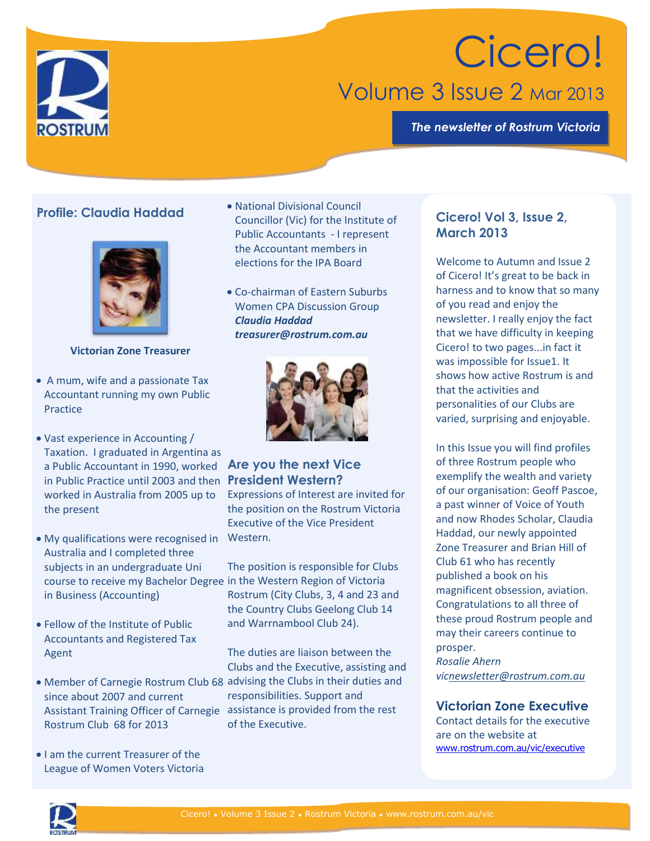

# Cicero! Volume 3 Issue 2 Mar 2013

*The newsletter of Rostrum Victoria*

# **Profile: Claudia Haddad**



#### **Victorian Zone Treasurer**

- A mum, wife and a passionate Tax Accountant running my own Public Practice
- Vast experience in Accounting / Taxation. I graduated in Argentina as a Public Accountant in 1990, worked **Are you the next Vice**  in Public Practice until 2003 and then **President Western?** worked in Australia from 2005 up to the present
- My qualifications were recognised in Western. Australia and I completed three subjects in an undergraduate Uni course to receive my Bachelor Degree in the Western Region of Victoria in Business (Accounting)
- Fellow of the Institute of Public Accountants and Registered Tax Agent
- Member of Carnegie Rostrum Club 68 advising the Clubs in their duties and since about 2007 and current Assistant Training Officer of Carnegie assistance is provided from the rest Rostrum Club 68 for 2013
- I am the current Treasurer of the League of Women Voters Victoria
- National Divisional Council Councillor (Vic) for the Institute of Public Accountants - I represent the Accountant members in elections for the IPA Board
- Co-chairman of Eastern Suburbs Women CPA Discussion Group *Claudia Haddad treasurer@rostrum.com.au*



Expressions of Interest are invited for the position on the Rostrum Victoria Executive of the Vice President

The position is responsible for Clubs Rostrum (City Clubs, 3, 4 and 23 and the Country Clubs Geelong Club 14 and Warrnambool Club 24).

The duties are liaison between the Clubs and the Executive, assisting and responsibilities. Support and of the Executive.

# **Cicero! Vol 3, Issue 2, March 2013**

Welcome to Autumn and Issue 2 of Cicero! It's great to be back in harness and to know that so many of you read and enjoy the newsletter. I really enjoy the fact that we have difficulty in keeping Cicero! to two pages...in fact it was impossible for Issue1. It shows how active Rostrum is and that the activities and personalities of our Clubs are varied, surprising and enjoyable.

In this Issue you will find profiles of three Rostrum people who exemplify the wealth and variety of our organisation: Geoff Pascoe, a past winner of Voice of Youth and now Rhodes Scholar, Claudia Haddad, our newly appointed Zone Treasurer and Brian Hill of Club 61 who has recently published a book on his magnificent obsession, aviation. Congratulations to all three of these proud Rostrum people and may their careers continue to prosper. *Rosalie Ahern vi[cnewsletter@rostrum.com.au](mailto:newsletter@rostrum.com.au)*

## **Victorian Zone Executive**

Contact details for the executive are on the website at [www.rostrum.com.au/vic/executive](http://www.rostrum.com.au/vic/executive)

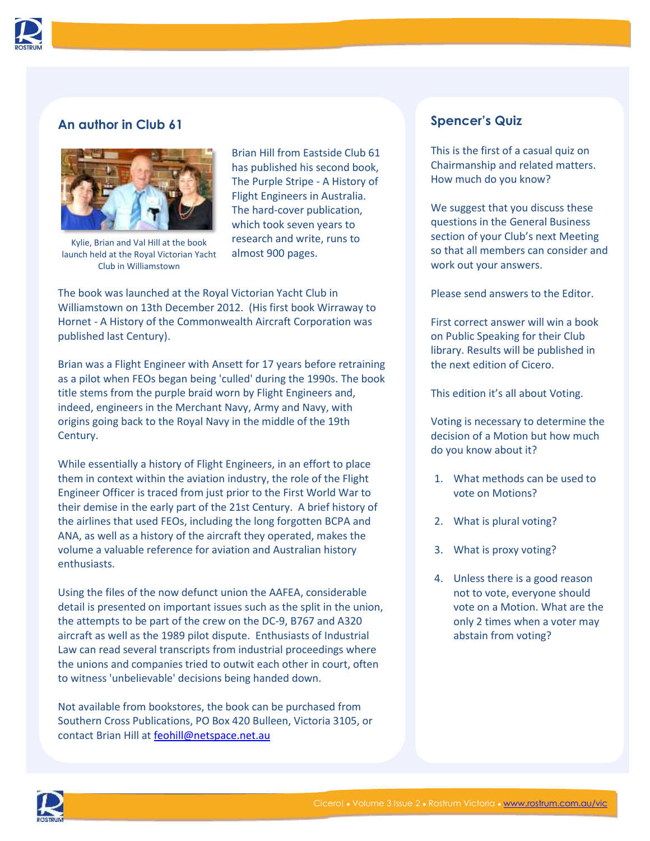

# **An author in Club 61**



Kylie, Brian and Val Hill at the book launch held at the Royal Victorian Yacht Club in Williamstown

Brian Hill from Eastside Club 61 has published his second book, The Purple Stripe - A History of Flight Engineers in Australia. The hard-cover publication, which took seven years to research and write, runs to almost 900 pages.

The book was launched at the Royal Victorian Yacht Club in Williamstown on 13th December 2012. (His first book Wirraway to Hornet - A History of the Commonwealth Aircraft Corporation was published last Century).

Brian was a Flight Engineer with Ansett for 17 years before retraining as a pilot when FEOs began being 'culled' during the 1990s. The book title stems from the purple braid worn by Flight Engineers and, indeed, engineers in the Merchant Navy, Army and Navy, with origins going back to the Royal Navy in the middle of the 19th Century.

While essentially a history of Flight Engineers, in an effort to place them in context within the aviation industry, the role of the Flight Engineer Officer is traced from just prior to the First World War to their demise in the early part of the 21st Century. A brief history of the airlines that used FEOs, including the long forgotten BCPA and ANA, as well as a history of the aircraft they operated, makes the volume a valuable reference for aviation and Australian history enthusiasts.

Using the files of the now defunct union the AAFEA, considerable detail is presented on important issues such as the split in the union, the attempts to be part of the crew on the DC-9, B767 and A320 aircraft as well as the 1989 pilot dispute. Enthusiasts of Industrial Law can read several transcripts from industrial proceedings where the unions and companies tried to outwit each other in court, often to witness 'unbelievable' decisions being handed down.

Not available from bookstores, the book can be purchased from Southern Cross Publications, PO Box 420 Bulleen, Victoria 3105, or contact Brian Hill at [feohill@netspace.net.au](mailto:feohill@netspace.net.au)

# **Spencer's Quiz**

This is the first of a casual quiz on Chairmanship and related matters. How much do you know?

We suggest that you discuss these questions in the General Business section of your Club's next Meeting so that all members can consider and work out your answers.

Please send answers to the Editor.

First correct answer will win a book on Public Speaking for their Club library. Results will be published in the next edition of Cicero.

This edition it's all about Voting.

Voting is necessary to determine the decision of a Motion but how much do you know about it?

- 1. What methods can be used to vote on Motions?
- 2. What is plural voting?
- 3. What is proxy voting?
- 4. Unless there is a good reason not to vote, everyone should vote on a Motion. What are the only 2 times when a voter may abstain from voting?